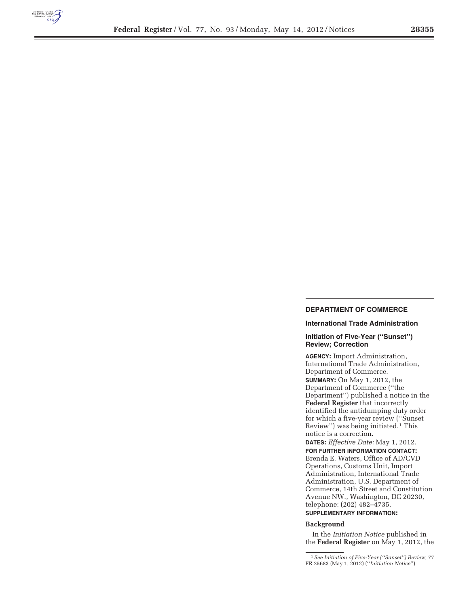

## **DEPARTMENT OF COMMERCE**

### **International Trade Administration**

## **Initiation of Five-Year (''Sunset'') Review; Correction**

**AGENCY:** Import Administration, International Trade Administration, Department of Commerce. **SUMMARY:** On May 1, 2012, the Department of Commerce (''the Department'') published a notice in the **Federal Register** that incorrectly identified the antidumping duty order for which a five-year review (''Sunset Review'') was being initiated.1 This notice is a correction.

**DATES:** *Effective Date:* May 1, 2012. **FOR FURTHER INFORMATION CONTACT:**  Brenda E. Waters, Office of AD/CVD Operations, Customs Unit, Import Administration, International Trade Administration, U.S. Department of Commerce, 14th Street and Constitution Avenue NW., Washington, DC 20230, telephone: (202) 482–4735. **SUPPLEMENTARY INFORMATION:** 

**Background** 

In the *Initiation Notice* published in the **Federal Register** on May 1, 2012, the

1*See Initiation of Five-Year (''Sunset'') Review,* 77 FR 25683 (May 1, 2012) (''*Initiation Notice*'')